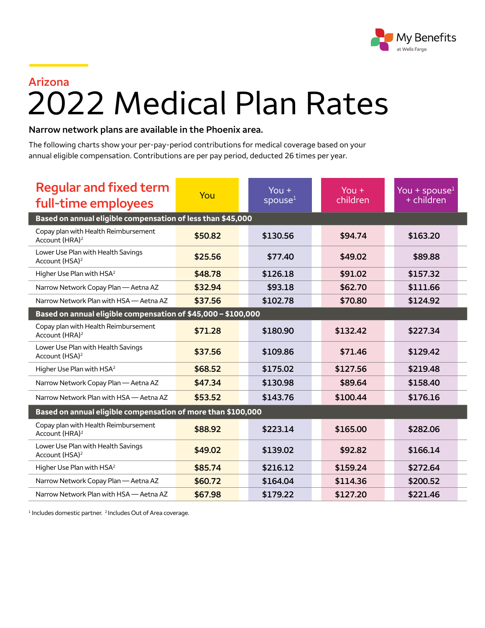

## **Arizona** 2022 Medical Plan Rates

## **Narrow network plans are available in the Phoenix area.**

The following charts show your per-pay-period contributions for medical coverage based on your annual eligible compensation. Contributions are per pay period, deducted 26 times per year.

| <b>Regular and fixed term</b><br>full-time employees               | You     | $You +$<br>spouse <sup>1</sup> | $You +$<br>children | You + spouse $1$<br>+ children |  |  |  |
|--------------------------------------------------------------------|---------|--------------------------------|---------------------|--------------------------------|--|--|--|
| Based on annual eligible compensation of less than \$45,000        |         |                                |                     |                                |  |  |  |
| Copay plan with Health Reimbursement<br>Account (HRA) <sup>2</sup> | \$50.82 | \$130.56                       | \$94.74             | \$163.20                       |  |  |  |
| Lower Use Plan with Health Savings<br>Account (HSA) <sup>2</sup>   | \$25.56 | \$77.40                        | \$49.02             | \$89.88                        |  |  |  |
| Higher Use Plan with HSA <sup>2</sup>                              | \$48.78 | \$126.18                       | \$91.02             | \$157.32                       |  |  |  |
| Narrow Network Copay Plan - Aetna AZ                               | \$32.94 | \$93.18                        | \$62.70             | \$111.66                       |  |  |  |
| Narrow Network Plan with HSA - Aetna AZ                            | \$37.56 | \$102.78                       | \$70.80             | \$124.92                       |  |  |  |
| Based on annual eligible compensation of \$45,000 - \$100,000      |         |                                |                     |                                |  |  |  |
| Copay plan with Health Reimbursement<br>Account (HRA) <sup>2</sup> | \$71.28 | \$180.90                       | \$132.42            | \$227.34                       |  |  |  |
| Lower Use Plan with Health Savings<br>Account (HSA) <sup>2</sup>   | \$37.56 | \$109.86                       | \$71.46             | \$129.42                       |  |  |  |
| Higher Use Plan with HSA <sup>2</sup>                              | \$68.52 | \$175.02                       | \$127.56            | \$219.48                       |  |  |  |
| Narrow Network Copay Plan - Aetna AZ                               | \$47.34 | \$130.98                       | \$89.64             | \$158.40                       |  |  |  |
| Narrow Network Plan with HSA - Aetna AZ                            | \$53.52 | \$143.76                       | \$100.44            | \$176.16                       |  |  |  |
| Based on annual eligible compensation of more than \$100,000       |         |                                |                     |                                |  |  |  |
| Copay plan with Health Reimbursement<br>Account (HRA) <sup>2</sup> | \$88.92 | \$223.14                       | \$165.00            | \$282.06                       |  |  |  |
| Lower Use Plan with Health Savings<br>Account (HSA) <sup>2</sup>   | \$49.02 | \$139.02                       | \$92.82             | \$166.14                       |  |  |  |
| Higher Use Plan with HSA <sup>2</sup>                              | \$85.74 | \$216.12                       | \$159.24            | \$272.64                       |  |  |  |
| Narrow Network Copay Plan - Aetna AZ                               | \$60.72 | \$164.04                       | \$114.36            | \$200.52                       |  |  |  |
| Narrow Network Plan with HSA - Aetna AZ                            | \$67.98 | \$179.22                       | \$127.20            | \$221.46                       |  |  |  |

<sup>1</sup> Includes domestic partner. <sup>2</sup> Includes Out of Area coverage.